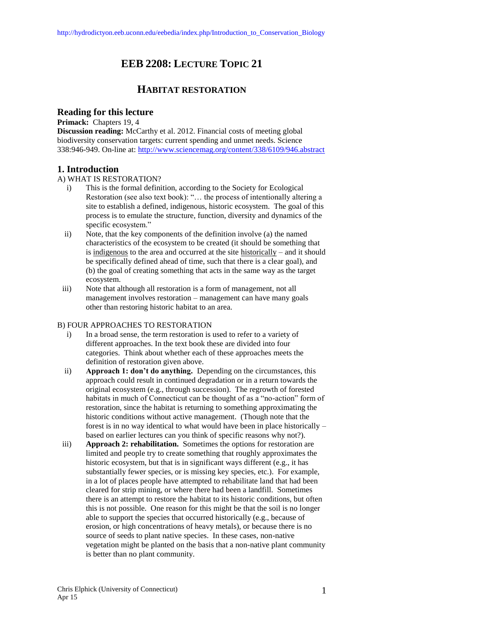# **EEB 2208: LECTURE TOPIC 21**

## **HABITAT RESTORATION**

## **Reading for this lecture**

**Primack:** Chapters 19, 4

**Discussion reading:** McCarthy et al. 2012. Financial costs of meeting global biodiversity conservation targets: current spending and unmet needs. Science 338:946-949. On-line at[: http://www.sciencemag.org/content/338/6109/946.abstract](http://www.sciencemag.org/content/338/6109/946.abstract)

## **1. Introduction**

#### A) WHAT IS RESTORATION?

- i) This is the formal definition, according to the Society for Ecological Restoration (see also text book): "… the process of intentionally altering a site to establish a defined, indigenous, historic ecosystem. The goal of this process is to emulate the structure, function, diversity and dynamics of the specific ecosystem."
- ii) Note, that the key components of the definition involve (a) the named characteristics of the ecosystem to be created (it should be something that is indigenous to the area and occurred at the site historically – and it should be specifically defined ahead of time, such that there is a clear goal), and (b) the goal of creating something that acts in the same way as the target ecosystem.
- iii) Note that although all restoration is a form of management, not all management involves restoration – management can have many goals other than restoring historic habitat to an area.

#### B) FOUR APPROACHES TO RESTORATION

- i) In a broad sense, the term restoration is used to refer to a variety of different approaches. In the text book these are divided into four categories. Think about whether each of these approaches meets the definition of restoration given above.
- ii) **Approach 1: don't do anything.** Depending on the circumstances, this approach could result in continued degradation or in a return towards the original ecosystem (e.g., through succession). The regrowth of forested habitats in much of Connecticut can be thought of as a "no-action" form of restoration, since the habitat is returning to something approximating the historic conditions without active management. (Though note that the forest is in no way identical to what would have been in place historically – based on earlier lectures can you think of specific reasons why not?).
- iii) **Approach 2: rehabilitation.** Sometimes the options for restoration are limited and people try to create something that roughly approximates the historic ecosystem, but that is in significant ways different (e.g., it has substantially fewer species, or is missing key species, etc.). For example, in a lot of places people have attempted to rehabilitate land that had been cleared for strip mining, or where there had been a landfill. Sometimes there is an attempt to restore the habitat to its historic conditions, but often this is not possible. One reason for this might be that the soil is no longer able to support the species that occurred historically (e.g., because of erosion, or high concentrations of heavy metals), or because there is no source of seeds to plant native species. In these cases, non-native vegetation might be planted on the basis that a non-native plant community is better than no plant community.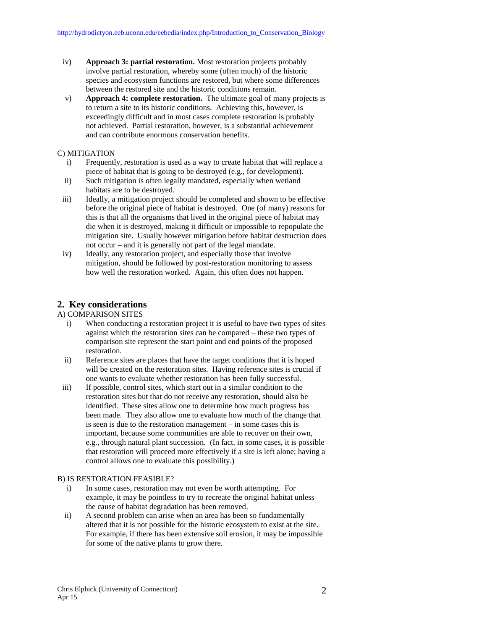- iv) **Approach 3: partial restoration.** Most restoration projects probably involve partial restoration, whereby some (often much) of the historic species and ecosystem functions are restored, but where some differences between the restored site and the historic conditions remain.
- v) **Approach 4: complete restoration.** The ultimate goal of many projects is to return a site to its historic conditions. Achieving this, however, is exceedingly difficult and in most cases complete restoration is probably not achieved. Partial restoration, however, is a substantial achievement and can contribute enormous conservation benefits.

#### C) MITIGATION

- i) Frequently, restoration is used as a way to create habitat that will replace a piece of habitat that is going to be destroyed (e.g., for development).
- ii) Such mitigation is often legally mandated, especially when wetland habitats are to be destroyed.
- iii) Ideally, a mitigation project should be completed and shown to be effective before the original piece of habitat is destroyed. One (of many) reasons for this is that all the organisms that lived in the original piece of habitat may die when it is destroyed, making it difficult or impossible to repopulate the mitigation site. Usually however mitigation before habitat destruction does not occur – and it is generally not part of the legal mandate.
- iv) Ideally, any restoration project, and especially those that involve mitigation, should be followed by post-restoration monitoring to assess how well the restoration worked. Again, this often does not happen.

### **2. Key considerations**

#### A) COMPARISON SITES

- i) When conducting a restoration project it is useful to have two types of sites against which the restoration sites can be compared – these two types of comparison site represent the start point and end points of the proposed restoration.
- ii) Reference sites are places that have the target conditions that it is hoped will be created on the restoration sites. Having reference sites is crucial if one wants to evaluate whether restoration has been fully successful.
- iii) If possible, control sites, which start out in a similar condition to the restoration sites but that do not receive any restoration, should also be identified. These sites allow one to determine how much progress has been made. They also allow one to evaluate how much of the change that is seen is due to the restoration management – in some cases this is important, because some communities are able to recover on their own, e.g., through natural plant succession. (In fact, in some cases, it is possible that restoration will proceed more effectively if a site is left alone; having a control allows one to evaluate this possibility.)

#### B) IS RESTORATION FEASIBLE?

- i) In some cases, restoration may not even be worth attempting. For example, it may be pointless to try to recreate the original habitat unless the cause of habitat degradation has been removed.
- ii) A second problem can arise when an area has been so fundamentally altered that it is not possible for the historic ecosystem to exist at the site. For example, if there has been extensive soil erosion, it may be impossible for some of the native plants to grow there.